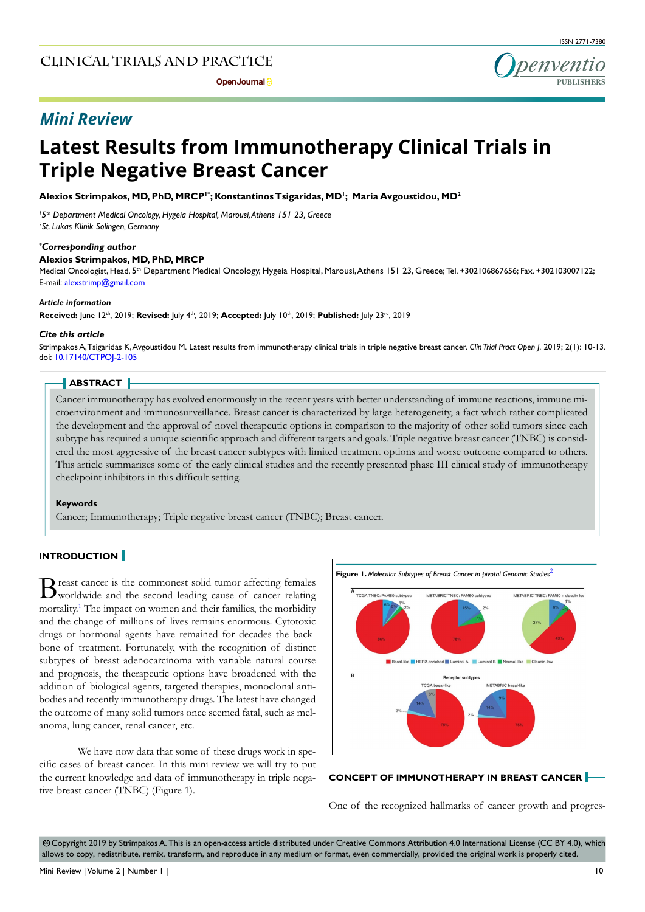

# *Mini Review*

# **Latest Results from Immunotherapy Clinical Trials in Triple Negative Breast Cancer**

**Alexios Strimpakos, MD, PhD, MRCP1\*; Konstantinos Tsigaridas, MD1 ; Maria Avgoustidou, MD2**

*1 5th Department Medical Oncology, Hygeia Hospital, Marousi, Athens 151 23, Greece 2 St. Lukas Klinik Solingen, Germany*

#### *\* Corresponding author*

#### **Alexios Strimpakos, MD, PhD, MRCP**

Medical Oncologist, Head, 5<sup>th</sup> Department Medical Oncology, Hygeia Hospital, Marousi, Athens 151 23, Greece; Tel. +302106867656; Fax. +302103007122; E-mail: alexstrimp@gmail.com

#### *Article information*

**Received:** June 12th, 2019; **Revised:** July 4th, 2019; **Accepted:** July 10th, 2019; **Published:** July 23rd, 2019

#### *Cite this article*

Strimpakos A, Tsigaridas K, Avgoustidou M. Latest results from immunotherapy clinical trials in triple negative breast cancer. *Clin Trial Pract Open J*. 2019; 2(1): 10-13. doi: [10.17140/CTPOJ-2-105](http://dx.doi.org/10.17140/CTPOJ-2-105)

### **ABSTRACT**

Cancer immunotherapy has evolved enormously in the recent years with better understanding of immune reactions, immune microenvironment and immunosurveillance. Breast cancer is characterized by large heterogeneity, a fact which rather complicated the development and the approval of novel therapeutic options in comparison to the majority of other solid tumors since each subtype has required a unique scientific approach and different targets and goals. Triple negative breast cancer (TNBC) is considered the most aggressive of the breast cancer subtypes with limited treatment options and worse outcome compared to others. This article summarizes some of the early clinical studies and the recently presented phase III clinical study of immunotherapy checkpoint inhibitors in this difficult setting.

#### **Keywords**

Cancer; Immunotherapy; Triple negative breast cancer (TNBC); Breast cancer.

#### **INTRODUCTION**

Breast cancer is the commonest solid tumor affecting females<br>worldwide and the second leading cause of cancer relating mortality.<sup>1</sup> The impact on women and their families, the morbidity and the change of millions of lives remains enormous. Cytotoxic drugs or hormonal agents have remained for decades the backbone of treatment. Fortunately, with the recognition of distinct subtypes of breast adenocarcinoma with variable natural course and prognosis, the therapeutic options have broadened with the addition of biological agents, targeted therapies, monoclonal antibodies and recently immunotherapy drugs. The latest have changed the outcome of many solid tumors once seemed fatal, such as melanoma, lung cancer, renal cancer, etc.

We have now data that some of these drugs work in specific cases of breast cancer. In this mini review we will try to put the current knowledge and data of immunotherapy in triple negative breast cancer (TNBC) (Figure 1).



#### **CONCEPT OF IMMUNOTHERAPY IN BREAST CANCER**

One of the recognized hallmarks of cancer growth and progres-

© Copyright 2019 by Strimpakos A. This is an open-access article distributed under Creative Commons Attribution 4.0 International License (CC BY 4.0), which allows to copy, redistribute, remix, transform, and reproduce in any medium or format, even commercially, provided the original work is properly cited.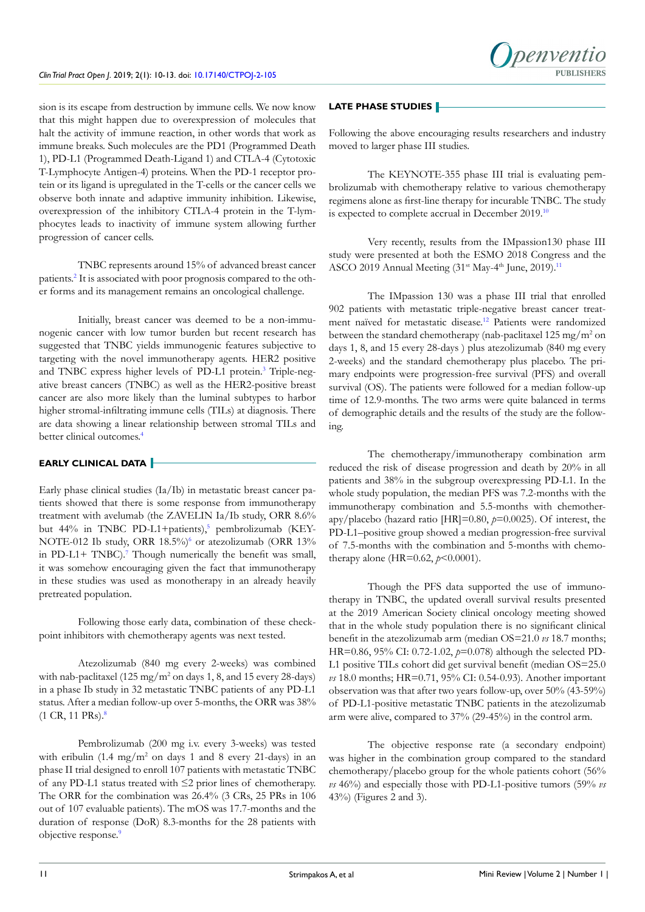sion is its escape from destruction by immune cells. We now know that this might happen due to overexpression of molecules that halt the activity of immune reaction, in other words that work as immune breaks. Such molecules are the PD1 (Programmed Death 1), PD-L1 (Programmed Death-Ligand 1) and CTLA-4 (Cytotoxic T-Lymphocyte Antigen-4) proteins. When the PD-1 receptor protein or its ligand is upregulated in the T-cells or the cancer cells we observe both innate and adaptive immunity inhibition. Likewise, overexpression of the inhibitory CTLA-4 protein in the T-lymphocytes leads to inactivity of immune system allowing further progression of cancer cells.

TNBC represents around 15% of advanced breast cancer patients.<sup>2</sup> It is associated with poor prognosis compared to the other forms and its management remains an oncological challenge.

Initially, breast cancer was deemed to be a non-immunogenic cancer with low tumor burden but recent research has suggested that TNBC yields immunogenic features subjective to targeting with the novel immunotherapy agents. HER2 positive and TNBC express higher levels of PD-L1 protein.<sup>[3](#page-2-2)</sup> Triple-negative breast cancers (TNBC) as well as the HER2-positive breast cancer are also more likely than the luminal subtypes to harbor higher stromal-infiltrating immune cells (TILs) at diagnosis. There are data showing a linear relationship between stromal TILs and better clinical outcomes.[4](#page-2-3)

# **EARLY CLINICAL DATA**

Early phase clinical studies  $(Ia/Ib)$  in metastatic breast cancer patients showed that there is some response from immunotherapy treatment with avelumab (the ZAVELIN Ia/Ib study, ORR 8.6% but 44% in TNBC PD-L1+patients),<sup>5</sup> pembrolizumab (KEY-NOTE-012 Ib study, ORR 18.5%)<sup>6</sup> or atezolizumab (ORR 13% in PD-L1+ TNBC).<sup>[7](#page-3-1)</sup> Though numerically the benefit was small, it was somehow encouraging given the fact that immunotherapy in these studies was used as monotherapy in an already heavily pretreated population.

Following those early data, combination of these checkpoint inhibitors with chemotherapy agents was next tested.

Atezolizumab (840 mg every 2-weeks) was combined with nab-paclitaxel  $(125 \text{ mg/m}^2 \text{ on days } 1, 8, \text{ and } 15 \text{ every } 28 \text{-days})$ in a phase Ib study in 32 metastatic TNBC patients of any PD-L1 status. After a median follow-up over 5-months, the ORR was 38% (1 CR, 11 PRs).[8](#page-3-2)

Pembrolizumab (200 mg i.v. every 3-weeks) was tested with eribulin  $(1.4 \text{ mg/m}^2 \text{ on days } 1 \text{ and } 8 \text{ every } 21\text{-days})$  in an phase II trial designed to enroll 107 patients with metastatic TNBC of any PD-L1 status treated with ≤2 prior lines of chemotherapy. The ORR for the combination was 26.4% (3 CRs, 25 PRs in 106 out of 107 evaluable patients). The mOS was 17.7-months and the duration of response (DoR) 8.3-months for the 28 patients with objective response.<sup>9</sup>

# **LATE PHASE STUDIES**

Following the above encouraging results researchers and industry moved to larger phase III studies.

The KEYNOTE-355 phase III trial is evaluating pembrolizumab with chemotherapy relative to various chemotherapy regimens alone as first-line therapy for incurable TNBC. The study is expected to complete accrual in December 2019[.10](#page-3-4)

Very recently, results from the IMpassion130 phase III study were presented at both the ESMO 2018 Congress and the ASCO 2019 Annual Meeting (31<sup>st</sup> May-4<sup>th</sup> June, 2019).<sup>[11](#page-3-5)</sup>

The IMpassion 130 was a phase III trial that enrolled 902 patients with metastatic triple-negative breast cancer treatment naïved for metastatic disease.[12](#page-3-6) Patients were randomized between the standard chemotherapy (nab-paclitaxel 125 mg/m<sup>2</sup> on days 1, 8, and 15 every 28-days ) plus atezolizumab (840 mg every 2-weeks) and the standard chemotherapy plus placebo. The primary endpoints were progression-free survival (PFS) and overall survival (OS). The patients were followed for a median follow-up time of 12.9-months. The two arms were quite balanced in terms of demographic details and the results of the study are the following.

The chemotherapy/immunotherapy combination arm reduced the risk of disease progression and death by 20% in all patients and 38% in the subgroup overexpressing PD-L1. In the whole study population, the median PFS was 7.2-months with the immunotherapy combination and 5.5-months with chemotherapy/placebo (hazard ratio [HR]=0.80, *p*=0.0025). Of interest, the PD-L1–positive group showed a median progression-free survival of 7.5-months with the combination and 5-months with chemotherapy alone (HR=0.62, *p*<0.0001).

Though the PFS data supported the use of immunotherapy in TNBC, the updated overall survival results presented at the 2019 American Society clinical oncology meeting showed that in the whole study population there is no significant clinical benefit in the atezolizumab arm (median OS=21.0 *vs* 18.7 months; HR=0.86, 95% CI: 0.72-1.02, *p*=0.078) although the selected PD-L1 positive TILs cohort did get survival benefit (median OS=25.0 *vs* 18.0 months; HR=0.71, 95% CI: 0.54-0.93). Another important observation was that after two years follow-up, over 50% (43-59%) of PD-L1-positive metastatic TNBC patients in the atezolizumab arm were alive, compared to 37% (29-45%) in the control arm.

The objective response rate (a secondary endpoint) was higher in the combination group compared to the standard chemotherapy/placebo group for the whole patients cohort (56% *vs* 46%) and especially those with PD-L1-positive tumors (59% *vs* 43%) (Figures 2 and 3).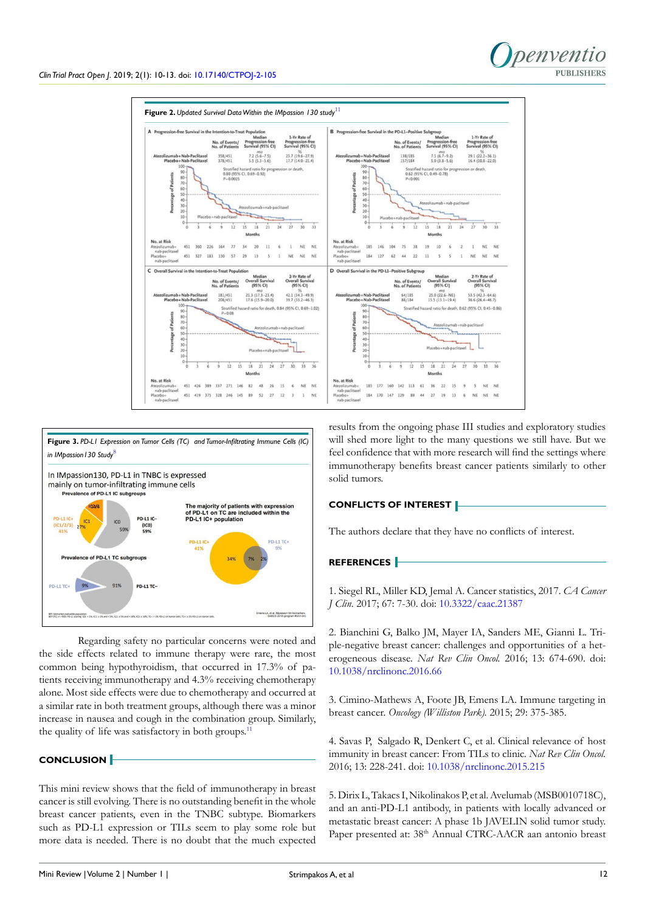



Regarding safety no particular concerns were noted and the side effects related to immune therapy were rare, the most common being hypothyroidism, that occurred in 17.3% of patients receiving immunotherapy and 4.3% receiving chemotherapy alone. Most side effects were due to chemotherapy and occurred at a similar rate in both treatment groups, although there was a minor increase in nausea and cough in the combination group. Similarly, the quality of life was satisfactory in both groups.<sup>[11](#page-3-5)</sup>

# **CONCLUSION**

This mini review shows that the field of immunotherapy in breast cancer is still evolving. There is no outstanding benefit in the whole breast cancer patients, even in the TNBC subtype. Biomarkers such as PD-L1 expression or TILs seem to play some role but more data is needed. There is no doubt that the much expected

results from the ongoing phase III studies and exploratory studies will shed more light to the many questions we still have. But we feel confidence that with more research will find the settings where immunotherapy benefits breast cancer patients similarly to other solid tumors.

## **CONFLICTS OF INTEREST**

The authors declare that they have no conflicts of interest.

# **REFERENCES**

<span id="page-2-0"></span>1. Siegel RL, Miller KD, Jemal A. Cancer statistics, 2017. *CA Cancer J Clin*. 2017; 67: 7-30. doi: [10.3322/caac.21387](https://doi.org/10.3322/caac.21387)

<span id="page-2-1"></span>2. Bianchini G, Balko JM, Mayer IA, Sanders ME, Gianni L. Triple-negative breast cancer: challenges and opportunities of a heterogeneous disease. *Nat Rev Clin Oncol.* 2016; 13: 674-690. doi: [10.1038/nrclinonc.2016.66](https://doi.org/10.1038/nrclinonc.2016.66)

<span id="page-2-2"></span>3. Cimino-Mathews A, Foote JB, Emens LA. Immune targeting in breast cancer. *Oncology (Williston Park).* 2015; 29: 375-385.

<span id="page-2-3"></span>4. Savas P, Salgado R, Denkert C, et al. Clinical relevance of host immunity in breast cancer: From TILs to clinic. *Nat Rev Clin Oncol.* 2016; 13: 228-241. doi: [10.1038/nrclinonc.2015.215](https://doi.org/10.1038/nrclinonc.2015.215)

<span id="page-2-4"></span>5. Dirix L, Takacs I, Nikolinakos P, et al. Avelumab (MSB0010718C), and an anti-PD-L1 antibody, in patients with locally advanced or metastatic breast cancer: A phase 1b JAVELIN solid tumor study. Paper presented at: 38<sup>th</sup> Annual CTRC-AACR aan antonio breast